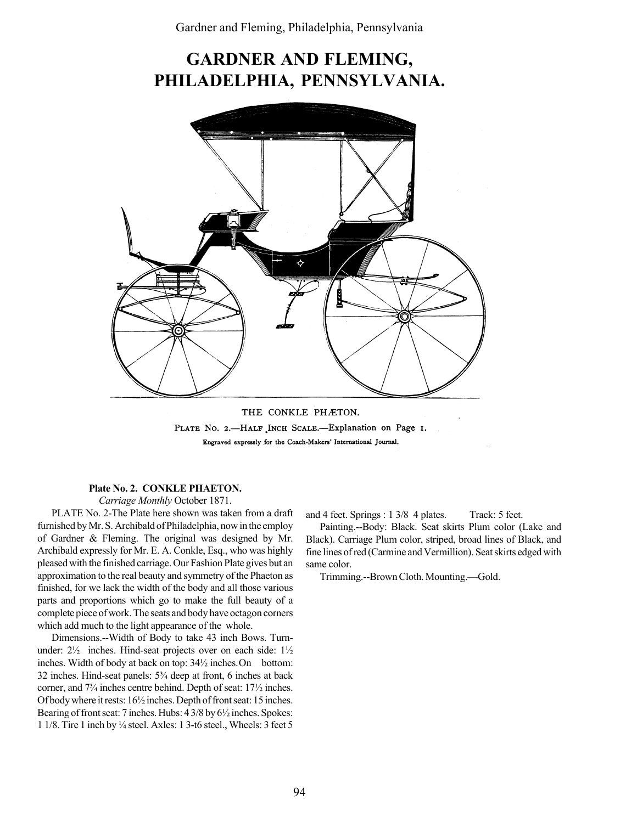## GARDNER AND FLEMING, PHILADELPHIA, PENNSYLVANIA.



THE CONKLE PHÆTON. PLATE No. 2.-HALF INCH SCALE.-Explanation on Page 1. Engraved expressly for the Coach-Makers' International Journal.

## Plate No. 2. CONKLE PHAETON.

Carriage Monthly October 1871.

PLATE No. 2-The Plate here shown was taken from a draft furnished by Mr. S. Archibald of Philadelphia, now in the employ of Gardner & Fleming. The original was designed by Mr. Archibald expressly for Mr. E. A. Conkle, Esq., who was highly pleased with the finished carriage. Our Fashion Plate gives but an approximation to the real beauty and symmetry of the Phaeton as finished, for we lack the width of the body and all those various parts and proportions which go to make the full beauty of a complete piece of work. The seats and body have octagon corners which add much to the light appearance of the whole.

Dimensions.--Width of Body to take 43 inch Bows. Turnunder: 2½ inches. Hind-seat projects over on each side: 1½ inches. Width of body at back on top: 34½ inches.On bottom: 32 inches. Hind-seat panels:  $5\frac{3}{4}$  deep at front, 6 inches at back corner, and  $7\frac{3}{4}$  inches centre behind. Depth of seat:  $17\frac{1}{2}$  inches. Of body where it rests: 16½ inches. Depth of front seat: 15 inches. Bearing of front seat: 7 inches. Hubs: 4 3/8 by 6½ inches. Spokes: 1 1/8. Tire 1 inch by  $\frac{1}{4}$  steel. Axles: 1 3-t6 steel., Wheels: 3 feet 5 and 4 feet. Springs : 1 3/8 4 plates. Track: 5 feet.

Painting.--Body: Black. Seat skirts Plum color (Lake and Black). Carriage Plum color, striped, broad lines of Black, and fine lines of red (Carmine and Vermillion). Seat skirts edged with same color.

Trimming.--Brown Cloth. Mounting.--Gold.